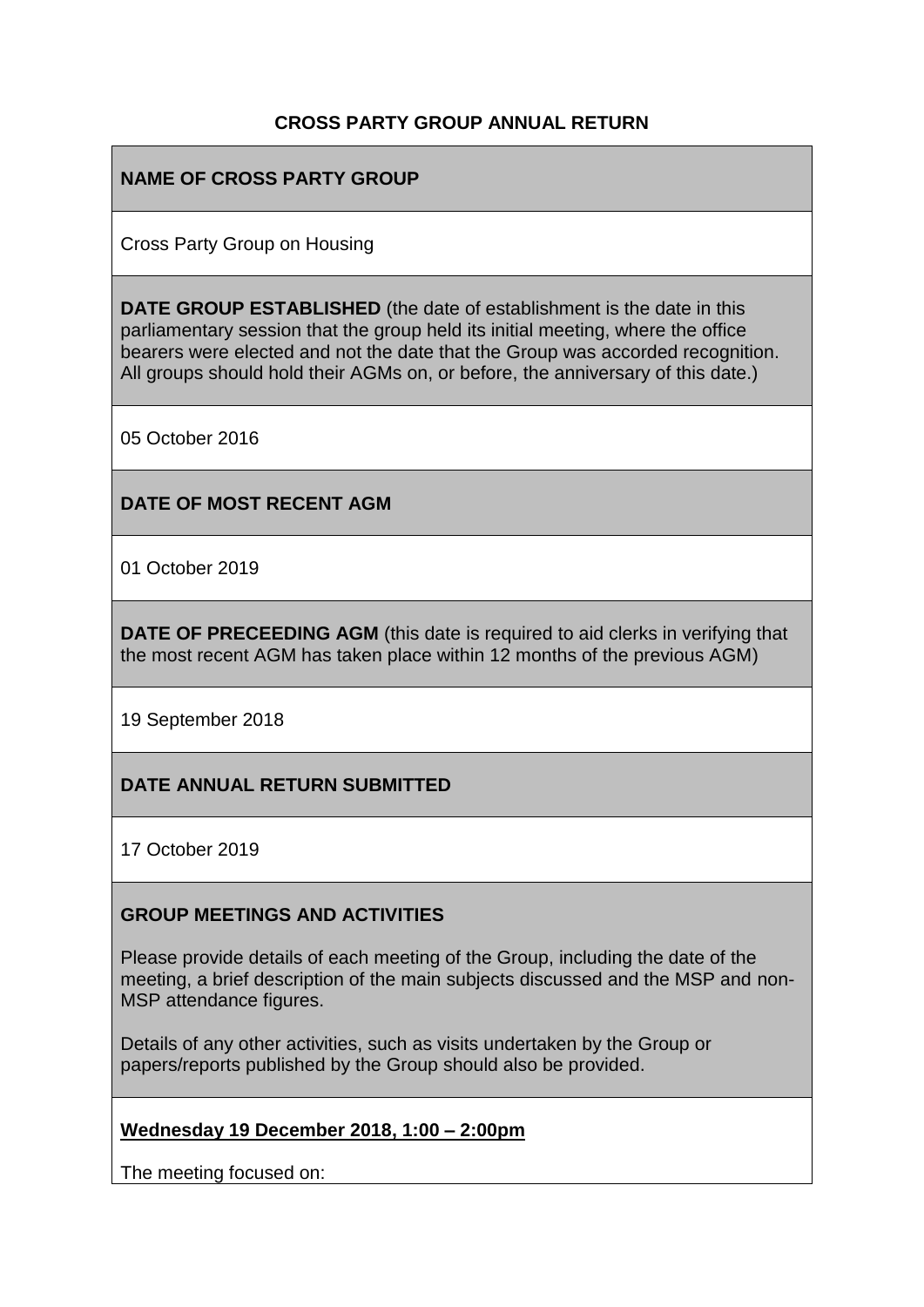### **CROSS PARTY GROUP ANNUAL RETURN**

### **NAME OF CROSS PARTY GROUP**

Cross Party Group on Housing

**DATE GROUP ESTABLISHED** (the date of establishment is the date in this parliamentary session that the group held its initial meeting, where the office bearers were elected and not the date that the Group was accorded recognition. All groups should hold their AGMs on, or before, the anniversary of this date.)

05 October 2016

#### **DATE OF MOST RECENT AGM**

01 October 2019

**DATE OF PRECEEDING AGM** (this date is required to aid clerks in verifying that the most recent AGM has taken place within 12 months of the previous AGM)

19 September 2018

### **DATE ANNUAL RETURN SUBMITTED**

17 October 2019

#### **GROUP MEETINGS AND ACTIVITIES**

Please provide details of each meeting of the Group, including the date of the meeting, a brief description of the main subjects discussed and the MSP and non-MSP attendance figures.

Details of any other activities, such as visits undertaken by the Group or papers/reports published by the Group should also be provided.

#### **Wednesday 19 December 2018, 1:00 – 2:00pm**

The meeting focused on: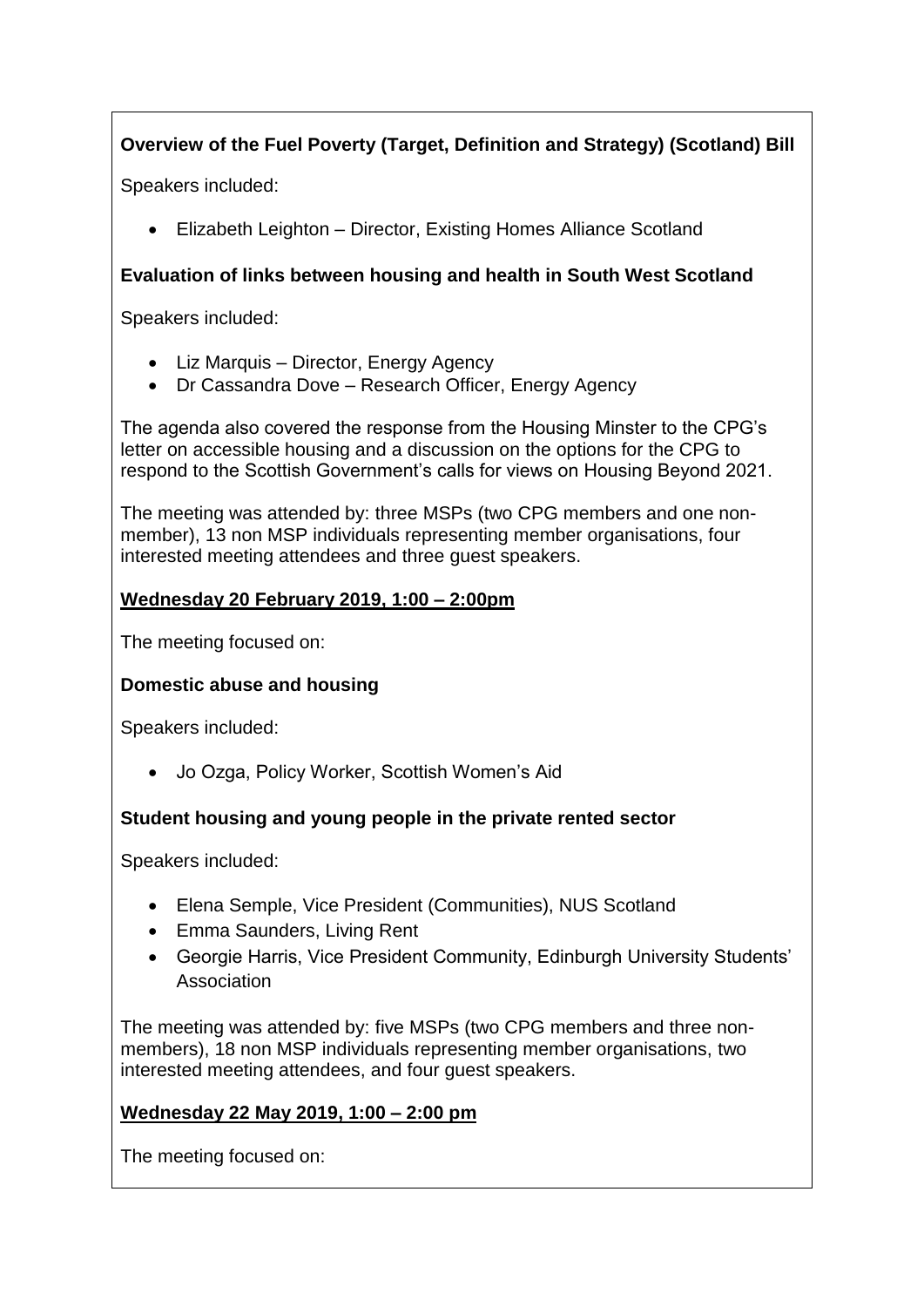# **Overview of the Fuel Poverty (Target, Definition and Strategy) (Scotland) Bill**

Speakers included:

• Elizabeth Leighton – Director, Existing Homes Alliance Scotland

# **Evaluation of links between housing and health in South West Scotland**

Speakers included:

- Liz Marquis Director, Energy Agency
- Dr Cassandra Dove Research Officer, Energy Agency

The agenda also covered the response from the Housing Minster to the CPG's letter on accessible housing and a discussion on the options for the CPG to respond to the Scottish Government's calls for views on Housing Beyond 2021.

The meeting was attended by: three MSPs (two CPG members and one nonmember), 13 non MSP individuals representing member organisations, four interested meeting attendees and three guest speakers.

### **Wednesday 20 February 2019, 1:00 – 2:00pm**

The meeting focused on:

# **Domestic abuse and housing**

Speakers included:

• Jo Ozga, Policy Worker, Scottish Women's Aid

# **Student housing and young people in the private rented sector**

Speakers included:

- Elena Semple, Vice President (Communities), NUS Scotland
- Emma Saunders, Living Rent
- Georgie Harris, Vice President Community, Edinburgh University Students' Association

The meeting was attended by: five MSPs (two CPG members and three nonmembers), 18 non MSP individuals representing member organisations, two interested meeting attendees, and four guest speakers.

# **Wednesday 22 May 2019, 1:00 – 2:00 pm**

The meeting focused on: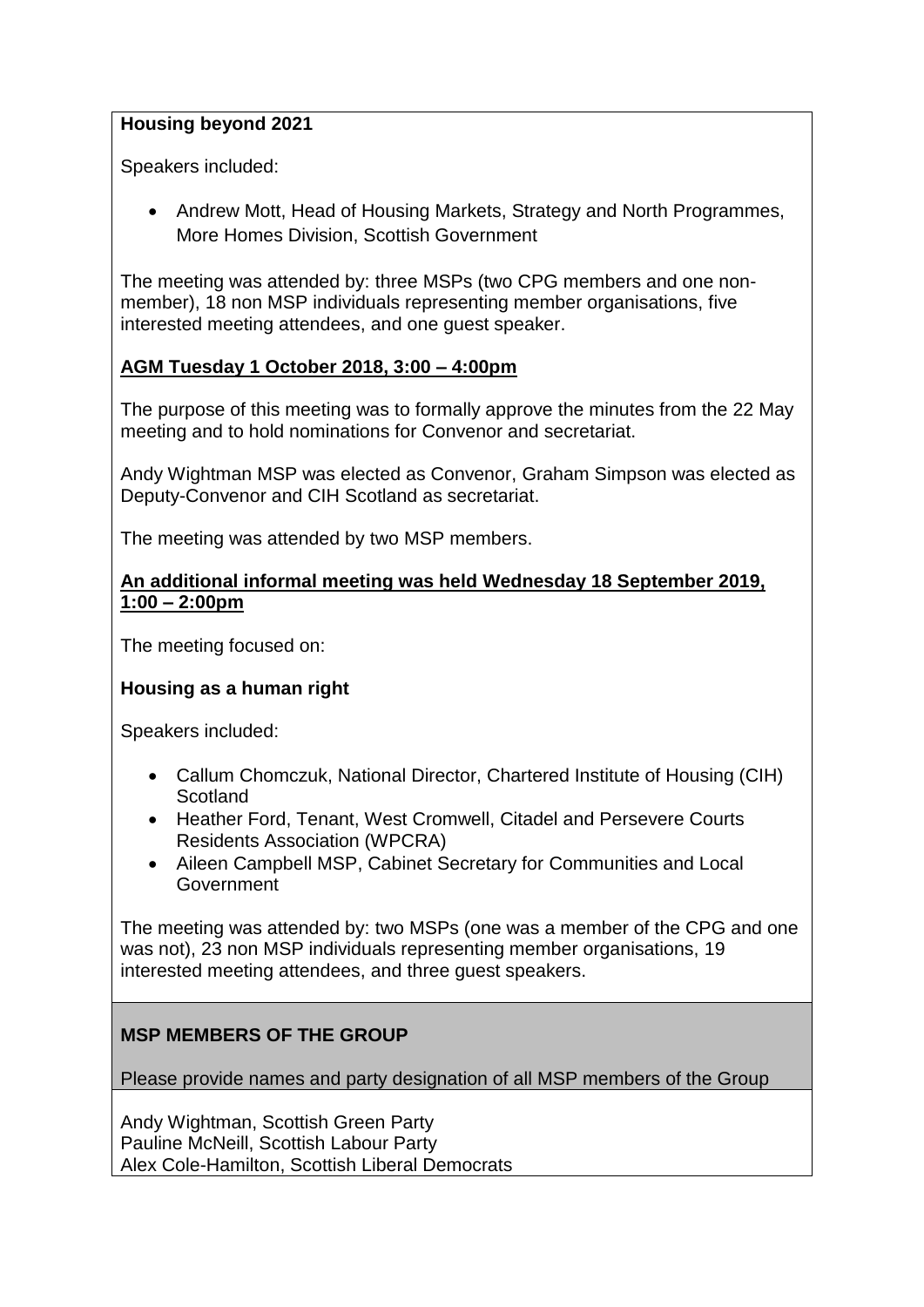#### **Housing beyond 2021**

Speakers included:

• Andrew Mott, Head of Housing Markets, Strategy and North Programmes, More Homes Division, Scottish Government

The meeting was attended by: three MSPs (two CPG members and one nonmember), 18 non MSP individuals representing member organisations, five interested meeting attendees, and one guest speaker.

### **AGM Tuesday 1 October 2018, 3:00 – 4:00pm**

The purpose of this meeting was to formally approve the minutes from the 22 May meeting and to hold nominations for Convenor and secretariat.

Andy Wightman MSP was elected as Convenor, Graham Simpson was elected as Deputy-Convenor and CIH Scotland as secretariat.

The meeting was attended by two MSP members.

#### **An additional informal meeting was held Wednesday 18 September 2019, 1:00 – 2:00pm**

The meeting focused on:

### **Housing as a human right**

Speakers included:

- Callum Chomczuk, National Director, Chartered Institute of Housing (CIH) **Scotland**
- Heather Ford, Tenant, West Cromwell, Citadel and Persevere Courts Residents Association (WPCRA)
- Aileen Campbell MSP, Cabinet Secretary for Communities and Local Government

The meeting was attended by: two MSPs (one was a member of the CPG and one was not), 23 non MSP individuals representing member organisations, 19 interested meeting attendees, and three guest speakers.

### **MSP MEMBERS OF THE GROUP**

Please provide names and party designation of all MSP members of the Group

Andy Wightman, Scottish Green Party Pauline McNeill, Scottish Labour Party Alex Cole-Hamilton, Scottish Liberal Democrats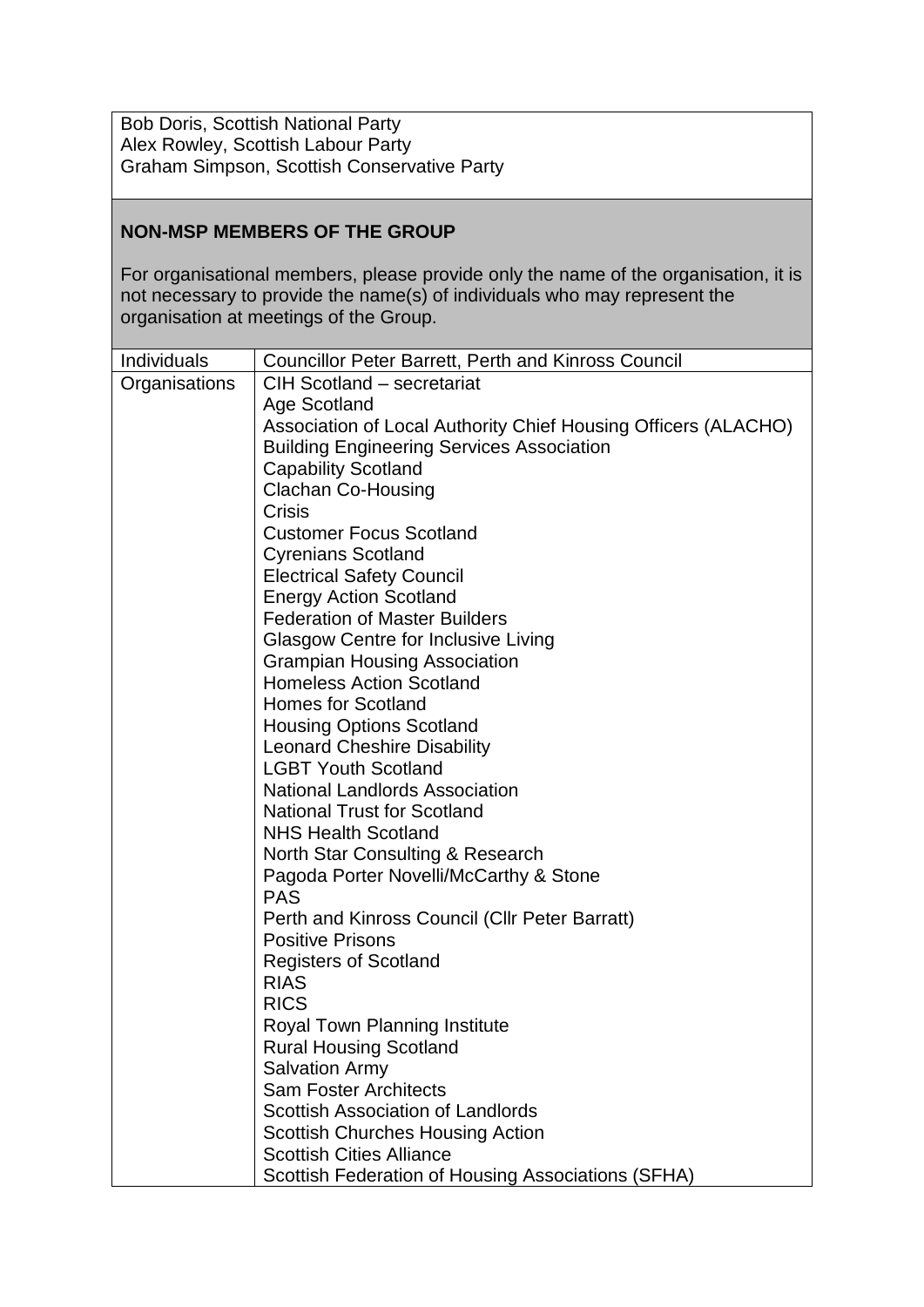Bob Doris, Scottish National Party Alex Rowley, Scottish Labour Party Graham Simpson, Scottish Conservative Party

#### **NON-MSP MEMBERS OF THE GROUP**

For organisational members, please provide only the name of the organisation, it is not necessary to provide the name(s) of individuals who may represent the organisation at meetings of the Group.

| Individuals   | <b>Councillor Peter Barrett, Perth and Kinross Council</b>     |  |
|---------------|----------------------------------------------------------------|--|
| Organisations | CIH Scotland - secretariat                                     |  |
|               | Age Scotland                                                   |  |
|               | Association of Local Authority Chief Housing Officers (ALACHO) |  |
|               | <b>Building Engineering Services Association</b>               |  |
|               | <b>Capability Scotland</b>                                     |  |
|               | <b>Clachan Co-Housing</b>                                      |  |
|               | Crisis                                                         |  |
|               | <b>Customer Focus Scotland</b>                                 |  |
|               | <b>Cyrenians Scotland</b>                                      |  |
|               | <b>Electrical Safety Council</b>                               |  |
|               | <b>Energy Action Scotland</b>                                  |  |
|               | <b>Federation of Master Builders</b>                           |  |
|               | <b>Glasgow Centre for Inclusive Living</b>                     |  |
|               | <b>Grampian Housing Association</b>                            |  |
|               | <b>Homeless Action Scotland</b>                                |  |
|               | <b>Homes for Scotland</b>                                      |  |
|               | <b>Housing Options Scotland</b>                                |  |
|               | <b>Leonard Cheshire Disability</b>                             |  |
|               | <b>LGBT Youth Scotland</b>                                     |  |
|               | <b>National Landlords Association</b>                          |  |
|               | <b>National Trust for Scotland</b>                             |  |
|               | <b>NHS Health Scotland</b>                                     |  |
|               | North Star Consulting & Research                               |  |
|               | Pagoda Porter Novelli/McCarthy & Stone                         |  |
|               | <b>PAS</b>                                                     |  |
|               | Perth and Kinross Council (Cllr Peter Barratt)                 |  |
|               | <b>Positive Prisons</b>                                        |  |
|               | <b>Registers of Scotland</b>                                   |  |
|               | <b>RIAS</b>                                                    |  |
|               | <b>RICS</b>                                                    |  |
|               | Royal Town Planning Institute                                  |  |
|               | <b>Rural Housing Scotland</b>                                  |  |
|               | <b>Salvation Army</b>                                          |  |
|               | <b>Sam Foster Architects</b>                                   |  |
|               | <b>Scottish Association of Landlords</b>                       |  |
|               | <b>Scottish Churches Housing Action</b>                        |  |
|               | <b>Scottish Cities Alliance</b>                                |  |
|               | Scottish Federation of Housing Associations (SFHA)             |  |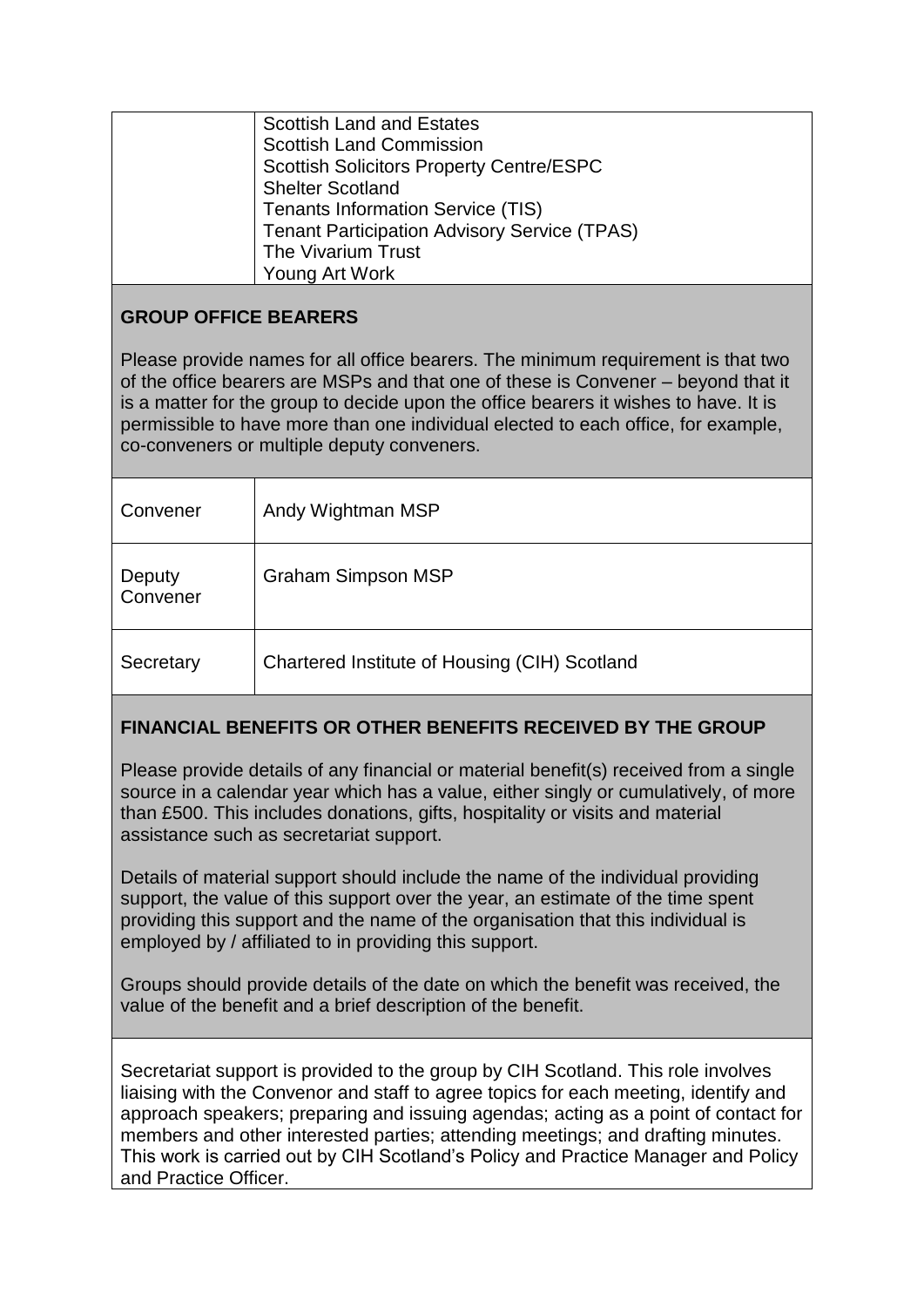| <b>Scottish Land and Estates</b>                    |
|-----------------------------------------------------|
| <b>Scottish Land Commission</b>                     |
| <b>Scottish Solicitors Property Centre/ESPC</b>     |
| <b>Shelter Scotland</b>                             |
| <b>Tenants Information Service (TIS)</b>            |
| <b>Tenant Participation Advisory Service (TPAS)</b> |
| The Vivarium Trust                                  |
| Young Art Work                                      |
|                                                     |

# **GROUP OFFICE BEARERS**

Please provide names for all office bearers. The minimum requirement is that two of the office bearers are MSPs and that one of these is Convener – beyond that it is a matter for the group to decide upon the office bearers it wishes to have. It is permissible to have more than one individual elected to each office, for example, co-conveners or multiple deputy conveners.

| Convener           | Andy Wightman MSP                             |
|--------------------|-----------------------------------------------|
| Deputy<br>Convener | <b>Graham Simpson MSP</b>                     |
| Secretary          | Chartered Institute of Housing (CIH) Scotland |

# **FINANCIAL BENEFITS OR OTHER BENEFITS RECEIVED BY THE GROUP**

Please provide details of any financial or material benefit(s) received from a single source in a calendar year which has a value, either singly or cumulatively, of more than £500. This includes donations, gifts, hospitality or visits and material assistance such as secretariat support.

Details of material support should include the name of the individual providing support, the value of this support over the year, an estimate of the time spent providing this support and the name of the organisation that this individual is employed by / affiliated to in providing this support.

Groups should provide details of the date on which the benefit was received, the value of the benefit and a brief description of the benefit.

Secretariat support is provided to the group by CIH Scotland. This role involves liaising with the Convenor and staff to agree topics for each meeting, identify and approach speakers; preparing and issuing agendas; acting as a point of contact for members and other interested parties; attending meetings; and drafting minutes. This work is carried out by CIH Scotland's Policy and Practice Manager and Policy and Practice Officer.